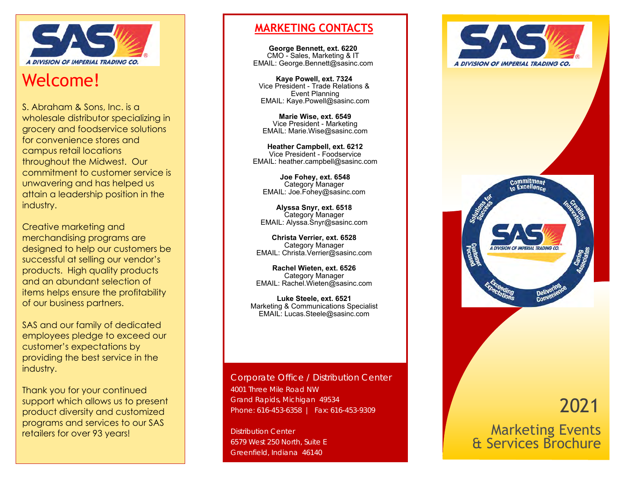

# Welcome!

S. Abraham & Sons, Inc. is a wholesale distributor specializing in grocery and foodservice solutions for convenience stores and campus retail locations throughout the Midwest. Our commitment to customer service is unwavering and has helped us attain a leadership position in the industry.

Creative marketing and merchandising programs are designed to help our customers be successful at selling our vendor's products. High quality products and an abundant selection of items helps ensure the profitability of our business partners.

SAS and our family of dedicated employees pledge to exceed our customer's expectations by providing the best service in the industry.

Thank you for your continued support which allows us to present product diversity and customized programs and services to our SAS retailers for over 93 years!

## **MARKETING CONTACTS**

**George Bennett, ext. 6220** CMO - Sales, Marketing & IT EMAIL: George.Bennett@sasinc.com

**Kaye Powell, ext. 7324** Vice President - Trade Relations & Event Planning EMAIL: Kaye.Powell@sasinc.com

**Marie Wise, ext. 6549**  Vice President - Marketing EMAIL: Marie.Wise@sasinc.com

**Heather Campbell, ext. 6212** Vice President - Foodservice EMAIL: heather.campbell@sasinc.com

**Joe Fohey, ext. 6548**  Category Manager EMAIL: Joe.Fohey@sasinc.com

**Alyssa Snyr, ext. 6518**  Category Manager EMAIL: Alyssa.Snyr@sasinc.com

**Christa Verrier, ext. 6528**  Category Manager EMAIL: Christa.Verrier@sasinc.com

**Rachel Wieten, ext. 6526** Category Manager EMAIL: Rachel.Wieten@sasinc.com

**Luke Steele, ext. 6521** Marketing & Communications Specialist EMAIL: Lucas.Steele@sasinc.com

Corporate Office / Distribution Center 4001 Three Mile Road NW Grand Rapids, Michigan 49534 Phone: 616-453-6358 | Fax: 616-453-9309

Distribution Center 6579 West 250 North, Suite E Greenfield, Indiana 46140





# 2021

Marketing Events & Services Brochure